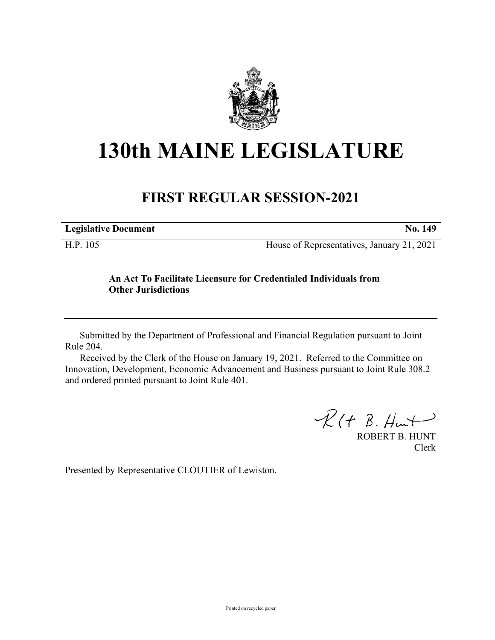

## **130th MAINE LEGISLATURE**

## **FIRST REGULAR SESSION-2021**

| <b>Legislative Document</b> | No. 149                                    |
|-----------------------------|--------------------------------------------|
| H.P. 105                    | House of Representatives, January 21, 2021 |

## **An Act To Facilitate Licensure for Credentialed Individuals from Other Jurisdictions**

Submitted by the Department of Professional and Financial Regulation pursuant to Joint Rule 204.

Received by the Clerk of the House on January 19, 2021. Referred to the Committee on Innovation, Development, Economic Advancement and Business pursuant to Joint Rule 308.2 and ordered printed pursuant to Joint Rule 401.

 $R(H B. H<sub>ur</sub>)$ 

ROBERT B. HUNT Clerk

Presented by Representative CLOUTIER of Lewiston.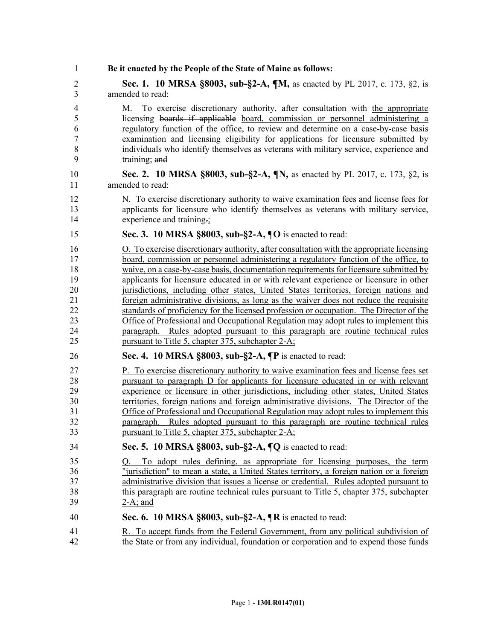| 1                          | Be it enacted by the People of the State of Maine as follows:                                                                                                                                                                                                                                                                                                                                                                                            |
|----------------------------|----------------------------------------------------------------------------------------------------------------------------------------------------------------------------------------------------------------------------------------------------------------------------------------------------------------------------------------------------------------------------------------------------------------------------------------------------------|
| 2                          | Sec. 1. 10 MRSA §8003, sub-§2-A, ¶M, as enacted by PL 2017, c. 173, §2, is                                                                                                                                                                                                                                                                                                                                                                               |
| 3                          | amended to read:                                                                                                                                                                                                                                                                                                                                                                                                                                         |
| 4<br>5<br>6<br>7<br>8<br>9 | To exercise discretionary authority, after consultation with the appropriate<br>M.<br>licensing boards if applicable board, commission or personnel administering a<br>regulatory function of the office, to review and determine on a case-by-case basis<br>examination and licensing eligibility for applications for licensure submitted by<br>individuals who identify themselves as veterans with military service, experience and<br>training; and |
| 10                         | Sec. 2. 10 MRSA §8003, sub-§2-A, ¶N, as enacted by PL 2017, c. 173, §2, is                                                                                                                                                                                                                                                                                                                                                                               |
| 11                         | amended to read:                                                                                                                                                                                                                                                                                                                                                                                                                                         |
| 12                         | N. To exercise discretionary authority to waive examination fees and license fees for                                                                                                                                                                                                                                                                                                                                                                    |
| 13                         | applicants for licensure who identify themselves as veterans with military service,                                                                                                                                                                                                                                                                                                                                                                      |
| 14                         | experience and training.                                                                                                                                                                                                                                                                                                                                                                                                                                 |
| 15                         | Sec. 3. 10 MRSA §8003, sub-§2-A, ¶O is enacted to read:                                                                                                                                                                                                                                                                                                                                                                                                  |
| 16                         | O. To exercise discretionary authority, after consultation with the appropriate licensing                                                                                                                                                                                                                                                                                                                                                                |
| 17                         | board, commission or personnel administering a regulatory function of the office, to                                                                                                                                                                                                                                                                                                                                                                     |
| 18                         | waive, on a case-by-case basis, documentation requirements for licensure submitted by                                                                                                                                                                                                                                                                                                                                                                    |
| 19                         | applicants for licensure educated in or with relevant experience or licensure in other                                                                                                                                                                                                                                                                                                                                                                   |
| 20                         | jurisdictions, including other states, United States territories, foreign nations and                                                                                                                                                                                                                                                                                                                                                                    |
| 21                         | foreign administrative divisions, as long as the waiver does not reduce the requisite                                                                                                                                                                                                                                                                                                                                                                    |
| 22                         | standards of proficiency for the licensed profession or occupation. The Director of the                                                                                                                                                                                                                                                                                                                                                                  |
| 23                         | Office of Professional and Occupational Regulation may adopt rules to implement this                                                                                                                                                                                                                                                                                                                                                                     |
| 24                         | paragraph. Rules adopted pursuant to this paragraph are routine technical rules                                                                                                                                                                                                                                                                                                                                                                          |
| 25                         | pursuant to Title 5, chapter 375, subchapter 2-A;                                                                                                                                                                                                                                                                                                                                                                                                        |
| 26                         | Sec. 4. 10 MRSA $\S 8003$ , sub- $\S 2-A$ , $\P P$ is enacted to read:                                                                                                                                                                                                                                                                                                                                                                                   |
| 27                         | P. To exercise discretionary authority to waive examination fees and license fees set                                                                                                                                                                                                                                                                                                                                                                    |
| 28                         | pursuant to paragraph D for applicants for licensure educated in or with relevant                                                                                                                                                                                                                                                                                                                                                                        |
| 29                         | experience or licensure in other jurisdictions, including other states, United States                                                                                                                                                                                                                                                                                                                                                                    |
| 30                         | territories, foreign nations and foreign administrative divisions. The Director of the                                                                                                                                                                                                                                                                                                                                                                   |
| 31                         | Office of Professional and Occupational Regulation may adopt rules to implement this                                                                                                                                                                                                                                                                                                                                                                     |
| 32                         | paragraph. Rules adopted pursuant to this paragraph are routine technical rules                                                                                                                                                                                                                                                                                                                                                                          |
| 33                         | pursuant to Title 5, chapter 375, subchapter 2-A;                                                                                                                                                                                                                                                                                                                                                                                                        |
| 34                         | Sec. 5. 10 MRSA §8003, sub-§2-A, ¶Q is enacted to read:                                                                                                                                                                                                                                                                                                                                                                                                  |
| 35<br>36<br>37<br>38<br>39 | To adopt rules defining, as appropriate for licensing purposes, the term<br>O.<br>"jurisdiction" to mean a state, a United States territory, a foreign nation or a foreign<br>administrative division that issues a license or credential. Rules adopted pursuant to<br>this paragraph are routine technical rules pursuant to Title 5, chapter 375, subchapter<br>$2-A$ ; and                                                                           |
| 40                         | Sec. 6. 10 MRSA §8003, sub-§2-A, ¶R is enacted to read:                                                                                                                                                                                                                                                                                                                                                                                                  |
| 41                         | R. To accept funds from the Federal Government, from any political subdivision of                                                                                                                                                                                                                                                                                                                                                                        |
| 42                         | the State or from any individual, foundation or corporation and to expend those funds                                                                                                                                                                                                                                                                                                                                                                    |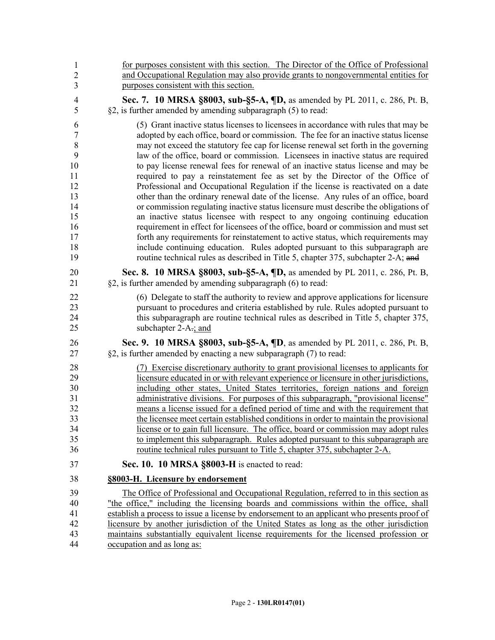| 1                | for purposes consistent with this section. The Director of the Office of Professional       |
|------------------|---------------------------------------------------------------------------------------------|
| $\overline{2}$   | and Occupational Regulation may also provide grants to nongovernmental entities for         |
| 3                | purposes consistent with this section.                                                      |
| $\overline{4}$   | Sec. 7. 10 MRSA §8003, sub-§5-A, ¶D, as amended by PL 2011, c. 286, Pt. B,                  |
| 5                | §2, is further amended by amending subparagraph (5) to read:                                |
| 6                | (5) Grant inactive status licenses to licenses in accordance with rules that may be         |
| $\boldsymbol{7}$ | adopted by each office, board or commission. The fee for an inactive status license         |
| $\,8\,$          | may not exceed the statutory fee cap for license renewal set forth in the governing         |
| 9                | law of the office, board or commission. Licensees in inactive status are required           |
| 10               | to pay license renewal fees for renewal of an inactive status license and may be            |
| 11               | required to pay a reinstatement fee as set by the Director of the Office of                 |
| 12               | Professional and Occupational Regulation if the license is reactivated on a date            |
| 13               | other than the ordinary renewal date of the license. Any rules of an office, board          |
| 14               | or commission regulating inactive status licensure must describe the obligations of         |
| 15               | an inactive status licensee with respect to any ongoing continuing education                |
| 16               | requirement in effect for licensees of the office, board or commission and must set         |
| 17               | forth any requirements for reinstatement to active status, which requirements may           |
| 18               | include continuing education. Rules adopted pursuant to this subparagraph are               |
| 19               | routine technical rules as described in Title 5, chapter 375, subchapter 2-A; and           |
| 20               | Sec. 8. 10 MRSA §8003, sub-§5-A, ¶D, as amended by PL 2011, c. 286, Pt. B,                  |
| 21               | $\S2$ , is further amended by amending subparagraph (6) to read:                            |
| 22               | (6) Delegate to staff the authority to review and approve applications for licensure        |
| 23               | pursuant to procedures and criteria established by rule. Rules adopted pursuant to          |
| 24               | this subparagraph are routine technical rules as described in Title 5, chapter 375,         |
| 25               | subchapter $2-A_{\overline{z}}$ and                                                         |
| 26               | Sec. 9. 10 MRSA §8003, sub-§5-A, ¶D, as amended by PL 2011, c. 286, Pt. B,                  |
| 27               | §2, is further amended by enacting a new subparagraph (7) to read:                          |
| 28               | (7) Exercise discretionary authority to grant provisional licenses to applicants for        |
| 29               | licensure educated in or with relevant experience or licensure in other jurisdictions,      |
| 30               | including other states, United States territories, foreign nations and foreign              |
| 31               | administrative divisions. For purposes of this subparagraph, "provisional license"          |
| 32               | means a license issued for a defined period of time and with the requirement that           |
| 33               | the licensee meet certain established conditions in order to maintain the provisional       |
| 34               | license or to gain full licensure. The office, board or commission may adopt rules          |
| 35               | to implement this subparagraph. Rules adopted pursuant to this subparagraph are             |
| 36               | routine technical rules pursuant to Title 5, chapter 375, subchapter 2-A.                   |
| 37               | Sec. 10. 10 MRSA §8003-H is enacted to read:                                                |
| 38               | §8003-H. Licensure by endorsement                                                           |
| 39               | The Office of Professional and Occupational Regulation, referred to in this section as      |
| 40               | "the office," including the licensing boards and commissions within the office, shall       |
| 41               | establish a process to issue a license by endorsement to an applicant who presents proof of |
| 42               | licensure by another jurisdiction of the United States as long as the other jurisdiction    |
| 43               | maintains substantially equivalent license requirements for the licensed profession or      |
| 44               | occupation and as long as:                                                                  |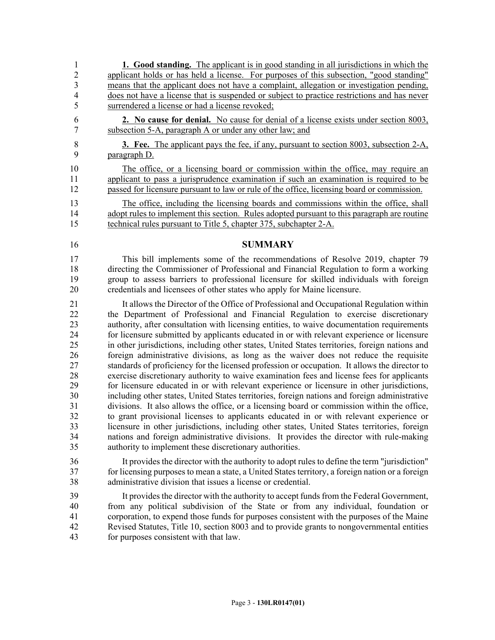1 **1. Good standing.** The applicant is in good standing in all jurisdictions in which the 2 applicant holds or has held a license. For purposes of this subsection, "good standing"<br>3 means that the applicant does not have a complaint, allegation or investigation pending, means that the applicant does not have a complaint, allegation or investigation pending, 4 does not have a license that is suspended or subject to practice restrictions and has never 5 surrendered a license or had a license revoked; 6 **2. No cause for denial.** No cause for denial of a license exists under section 8003, 7 subsection 5-A, paragraph A or under any other law; and 8 **3. Fee.** The applicant pays the fee, if any, pursuant to section 8003, subsection 2-A, 9 paragraph D. 10 The office, or a licensing board or commission within the office, may require an 11 applicant to pass a jurisprudence examination if such an examination is required to be 12 passed for licensure pursuant to law or rule of the office, licensing board or commission. 13 The office, including the licensing boards and commissions within the office, shall 14 adopt rules to implement this section. Rules adopted pursuant to this paragraph are routine 15 technical rules pursuant to Title 5, chapter 375, subchapter 2-A. 16 **SUMMARY** 17 This bill implements some of the recommendations of Resolve 2019, chapter 79 18 directing the Commissioner of Professional and Financial Regulation to form a working 19 group to assess barriers to professional licensure for skilled individuals with foreign 20 credentials and licensees of other states who apply for Maine licensure. 21 It allows the Director of the Office of Professional and Occupational Regulation within 22 the Department of Professional and Financial Regulation to exercise discretionary 23 authority, after consultation with licensing entities, to waive documentation requirements 24 for licensure submitted by applicants educated in or with relevant experience or licensure 25 in other jurisdictions, including other states, United States territories, foreign nations and 26 foreign administrative divisions, as long as the waiver does not reduce the requisite 27 standards of proficiency for the licensed profession or occupation. It allows the director to 28 exercise discretionary authority to waive examination fees and license fees for applicants 29 for licensure educated in or with relevant experience or licensure in other jurisdictions, 30 including other states, United States territories, foreign nations and foreign administrative 31 divisions. It also allows the office, or a licensing board or commission within the office, 32 to grant provisional licenses to applicants educated in or with relevant experience or 33 licensure in other jurisdictions, including other states, United States territories, foreign 34 nations and foreign administrative divisions. It provides the director with rule-making 35 authority to implement these discretionary authorities. 36 It provides the director with the authority to adopt rules to define the term "jurisdiction" 37 for licensing purposes to mean a state, a United States territory, a foreign nation or a foreign 38 administrative division that issues a license or credential. 39 It provides the director with the authority to accept funds from the Federal Government, 40 from any political subdivision of the State or from any individual, foundation or 41 corporation, to expend those funds for purposes consistent with the purposes of the Maine 42 Revised Statutes, Title 10, section 8003 and to provide grants to nongovernmental entities

43 for purposes consistent with that law.